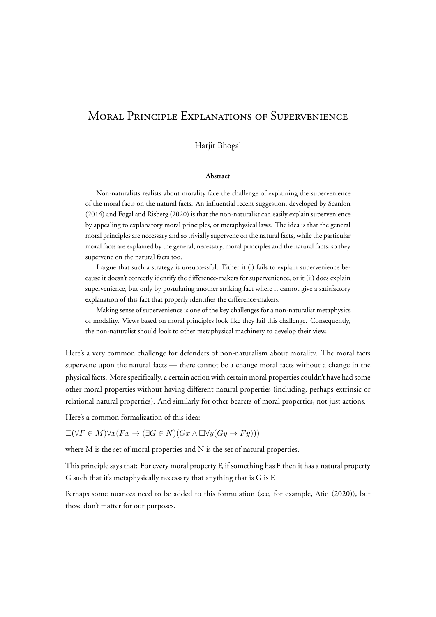# Moral Principle Explanations of Supervenience

#### Harjit Bhogal

#### **Abstract**

Non-naturalists realists about morality face the challenge of explaining the supervenience of the moral facts on the natural facts. An influential recent suggestion, developed by Scanlon (2014) and Fogal and Risberg (2020) is that the non-naturalist can easily explain supervenience by appealing to explanatory moral principles, or metaphysical laws. The idea is that the general moral principles are necessary and so trivially supervene on the natural facts, while the particular moral facts are explained by the general, necessary, moral principles and the natural facts, so they supervene on the natural facts too.

I argue that such a strategy is unsuccessful. Either it (i) fails to explain supervenience because it doesn't correctly identify the difference-makers for supervenience, or it (ii) does explain supervenience, but only by postulating another striking fact where it cannot give a satisfactory explanation of this fact that properly identifies the difference-makers.

Making sense of supervenience is one of the key challenges for a non-naturalist metaphysics of modality. Views based on moral principles look like they fail this challenge. Consequently, the non-naturalist should look to other metaphysical machinery to develop their view.

Here's a very common challenge for defenders of non-naturalism about morality. The moral facts supervene upon the natural facts — there cannot be a change moral facts without a change in the physical facts. More specifically, a certain action with certain moral properties couldn't have had some other moral properties without having different natural properties (including, perhaps extrinsic or relational natural properties). And similarly for other bearers of moral properties, not just actions.

Here's a common formalization of this idea:

□(*∀F ∈ M*)*∀x*(*F x →* (*∃G ∈ N*)(*Gx ∧* □*∀y*(*Gy → F y*)))

where M is the set of moral properties and N is the set of natural properties.

This principle says that: For every moral property F, if something has F then it has a natural property G such that it's metaphysically necessary that anything that is G is F.

Perhaps some nuances need to be added to this formulation (see, for example, Atiq (2020)), but those don't matter for our purposes.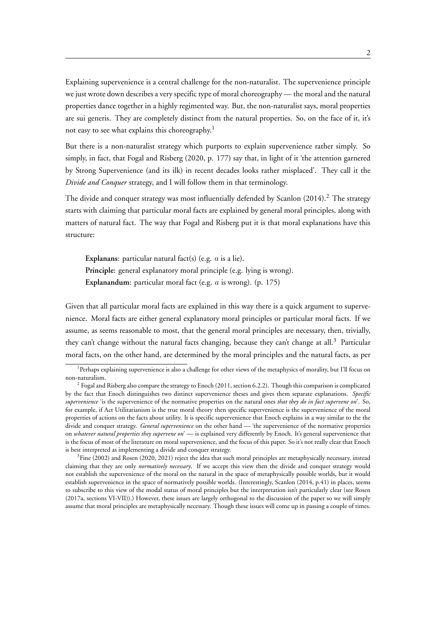Explaining supervenience is a central challenge for the non-naturalist. The supervenience principle we just wrote down describes a very specific type of moral choreography — the moral and the natural properties dance together in a highly regimented way. But, the non-naturalist says, moral properties are sui generis. They are completely distinct from the natural properties. So, on the face of it, it's not easy to see what explains this choreography.<sup>1</sup>

But there is a non-naturalist strategy which purports to explain supervenience rather simply. So simply, in fact, that Fogal and Risberg (2020, p. 177) say that, in light of it 'the attention garnered by Strong Supervenience (and its ilk) in recent decades looks rather misplaced'. They call it the *Divide and Conquer* strategy, and I will follow them in that terminology.

The divide and conquer strategy was most influentially defended by Scanlon (2014).<sup>2</sup> The strategy starts with claiming that particular moral facts are explained by general moral principles, along with matters of natural fact. The way that Fogal and Risberg put it is that moral explanations have this structure:

**Explanans**: particular natural fact(s) (e.g. *a* is a lie). **Principle**: general explanatory moral principle (e.g. lying is wrong). **Explanandum**: particular moral fact (e.g. *a* is wrong). (p. 175)

Given that all particular moral facts are explained in this way there is a quick argument to supervenience. Moral facts are either general explanatory moral principles or particular moral facts. If we assume, as seems reasonable to most, that the general moral principles are necessary, then, trivially, they can't change without the natural facts changing, because they can't change at all.<sup>3</sup> Particular moral facts, on the other hand, are determined by the moral principles and the natural facts, as per

<sup>&</sup>lt;sup>1</sup> Perhaps explaining supervenience is also a challenge for other views of the metaphysics of morality, but I'll focus on non-naturalism.

 $^2$  Fogal and Risberg also compare the strategy to Enoch (2011, section 6.2.2). Though this comparison is complicated by the fact that Enoch distinguishes two distinct supervenience theses and gives them separate explanations. *Specific supervenience* 'is the supervenience of the normative properties on the natural ones *that they do in fact supervene on*'. So, for example, if Act Utilitarianism is the true moral theory then specific supervenience is the supervenience of the moral properties of actions on the facts about utility. It is specific supervenience that Enoch explains in a way similar to the the divide and conquer strategy. *General supervenience* on the other hand — 'the supervenience of the normative properties on *whatever natural properties they supervene on*' — is explained very differently by Enoch. It's general supervenience that is the focus of most of the literature on moral supervenience, and the focus of this paper. So it's not really clear that Enoch is best interpreted as implementing a divide and conquer strategy.

<sup>&</sup>lt;sup>3</sup>Fine (2002) and Rosen (2020, 2021) reject the idea that such moral principles are metaphysically necessary, instead claiming that they are only *normatively necessary*. If we accept this view then the divide and conquer strategy would not establish the supervenience of the moral on the natural in the space of metaphysically possible worlds, but it would establish supervenience in the space of normatively possible worlds. (Interestingly, Scanlon (2014, p.41) in places, seems to subscribe to this view of the modal status of moral principles but the interpretation isn't particularly clear (see Rosen (2017a, sections VI-VII)).) However, these issues are largely orthogonal to the discussion of the paper so we will simply assume that moral principles are metaphysically necessary. Though these issues will come up in passing a couple of times.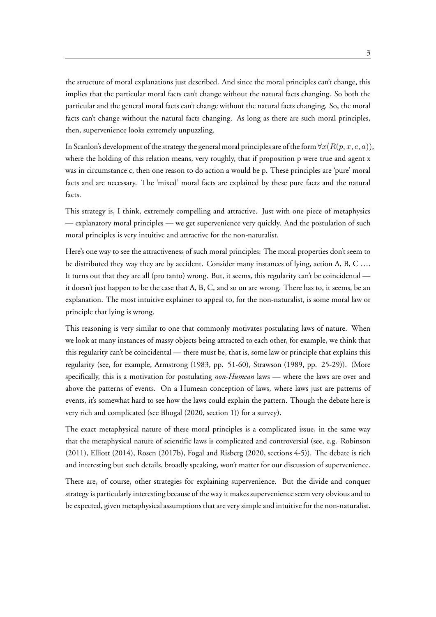the structure of moral explanations just described. And since the moral principles can't change, this implies that the particular moral facts can't change without the natural facts changing. So both the particular and the general moral facts can't change without the natural facts changing. So, the moral facts can't change without the natural facts changing. As long as there are such moral principles, then, supervenience looks extremely unpuzzling.

In Scanlon's development of the strategy the general moral principles are of the form *∀x*(*R*(*p, x, c, a*)), where the holding of this relation means, very roughly, that if proposition p were true and agent x was in circumstance c, then one reason to do action a would be p. These principles are 'pure' moral facts and are necessary. The 'mixed' moral facts are explained by these pure facts and the natural facts.

This strategy is, I think, extremely compelling and attractive. Just with one piece of metaphysics — explanatory moral principles — we get supervenience very quickly. And the postulation of such moral principles is very intuitive and attractive for the non-naturalist.

Here's one way to see the attractiveness of such moral principles: The moral properties don't seem to be distributed they way they are by accident. Consider many instances of lying, action A, B, C …. It turns out that they are all (pro tanto) wrong. But, it seems, this regularity can't be coincidental it doesn't just happen to be the case that A, B, C, and so on are wrong. There has to, it seems, be an explanation. The most intuitive explainer to appeal to, for the non-naturalist, is some moral law or principle that lying is wrong.

This reasoning is very similar to one that commonly motivates postulating laws of nature. When we look at many instances of massy objects being attracted to each other, for example, we think that this regularity can't be coincidental — there must be, that is, some law or principle that explains this regularity (see, for example, Armstrong (1983, pp. 51-60), Strawson (1989, pp. 25-29)). (More specifically, this is a motivation for postulating *non-Humean* laws — where the laws are over and above the patterns of events. On a Humean conception of laws, where laws just are patterns of events, it's somewhat hard to see how the laws could explain the pattern. Though the debate here is very rich and complicated (see Bhogal (2020, section 1)) for a survey).

The exact metaphysical nature of these moral principles is a complicated issue, in the same way that the metaphysical nature of scientific laws is complicated and controversial (see, e.g. Robinson (2011), Elliott (2014), Rosen (2017b), Fogal and Risberg (2020, sections 4-5)). The debate is rich and interesting but such details, broadly speaking, won't matter for our discussion of supervenience.

There are, of course, other strategies for explaining supervenience. But the divide and conquer strategy is particularly interesting because of the way it makes supervenience seem very obvious and to be expected, given metaphysical assumptions that are very simple and intuitive for the non-naturalist.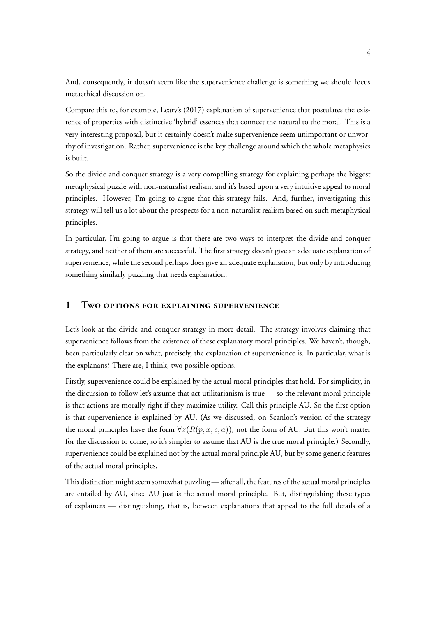And, consequently, it doesn't seem like the supervenience challenge is something we should focus metaethical discussion on.

Compare this to, for example, Leary's (2017) explanation of supervenience that postulates the existence of properties with distinctive 'hybrid' essences that connect the natural to the moral. This is a very interesting proposal, but it certainly doesn't make supervenience seem unimportant or unworthy of investigation. Rather, supervenience is the key challenge around which the whole metaphysics is built.

So the divide and conquer strategy is a very compelling strategy for explaining perhaps the biggest metaphysical puzzle with non-naturalist realism, and it's based upon a very intuitive appeal to moral principles. However, I'm going to argue that this strategy fails. And, further, investigating this strategy will tell us a lot about the prospects for a non-naturalist realism based on such metaphysical principles.

In particular, I'm going to argue is that there are two ways to interpret the divide and conquer strategy, and neither of them are successful. The first strategy doesn't give an adequate explanation of supervenience, while the second perhaps does give an adequate explanation, but only by introducing something similarly puzzling that needs explanation.

### **1 Two options for explaining supervenience**

Let's look at the divide and conquer strategy in more detail. The strategy involves claiming that supervenience follows from the existence of these explanatory moral principles. We haven't, though, been particularly clear on what, precisely, the explanation of supervenience is. In particular, what is the explanans? There are, I think, two possible options.

Firstly, supervenience could be explained by the actual moral principles that hold. For simplicity, in the discussion to follow let's assume that act utilitarianism is true — so the relevant moral principle is that actions are morally right if they maximize utility. Call this principle AU. So the first option is that supervenience is explained by AU. (As we discussed, on Scanlon's version of the strategy the moral principles have the form  $\forall x (R(p, x, c, a))$ , not the form of AU. But this won't matter for the discussion to come, so it's simpler to assume that AU is the true moral principle.) Secondly, supervenience could be explained not by the actual moral principle AU, but by some generic features of the actual moral principles.

This distinction might seem somewhat puzzling — after all, the features of the actual moral principles are entailed by AU, since AU just is the actual moral principle. But, distinguishing these types of explainers — distinguishing, that is, between explanations that appeal to the full details of a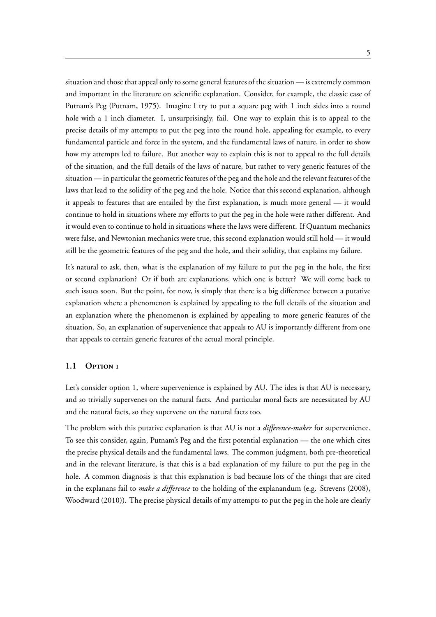situation and those that appeal only to some general features of the situation — is extremely common and important in the literature on scientific explanation. Consider, for example, the classic case of Putnam's Peg (Putnam, 1975). Imagine I try to put a square peg with 1 inch sides into a round hole with a 1 inch diameter. I, unsurprisingly, fail. One way to explain this is to appeal to the precise details of my attempts to put the peg into the round hole, appealing for example, to every fundamental particle and force in the system, and the fundamental laws of nature, in order to show how my attempts led to failure. But another way to explain this is not to appeal to the full details of the situation, and the full details of the laws of nature, but rather to very generic features of the situation — in particular the geometric features of the peg and the hole and the relevant features of the laws that lead to the solidity of the peg and the hole. Notice that this second explanation, although it appeals to features that are entailed by the first explanation, is much more general — it would continue to hold in situations where my efforts to put the peg in the hole were rather different. And it would even to continue to hold in situations where the laws were different. If Quantum mechanics were false, and Newtonian mechanics were true, this second explanation would still hold — it would still be the geometric features of the peg and the hole, and their solidity, that explains my failure.

It's natural to ask, then, what is the explanation of my failure to put the peg in the hole, the first or second explanation? Or if both are explanations, which one is better? We will come back to such issues soon. But the point, for now, is simply that there is a big difference between a putative explanation where a phenomenon is explained by appealing to the full details of the situation and an explanation where the phenomenon is explained by appealing to more generic features of the situation. So, an explanation of supervenience that appeals to AU is importantly different from one that appeals to certain generic features of the actual moral principle.

#### **1.1 Option 1**

Let's consider option 1, where supervenience is explained by AU. The idea is that AU is necessary, and so trivially supervenes on the natural facts. And particular moral facts are necessitated by AU and the natural facts, so they supervene on the natural facts too.

The problem with this putative explanation is that AU is not a *difference-maker* for supervenience. To see this consider, again, Putnam's Peg and the first potential explanation — the one which cites the precise physical details and the fundamental laws. The common judgment, both pre-theoretical and in the relevant literature, is that this is a bad explanation of my failure to put the peg in the hole. A common diagnosis is that this explanation is bad because lots of the things that are cited in the explanans fail to *make a difference* to the holding of the explanandum (e.g. Strevens (2008), Woodward (2010)). The precise physical details of my attempts to put the peg in the hole are clearly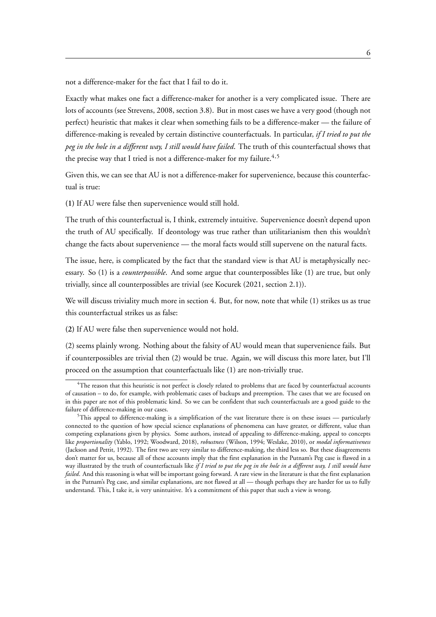not a difference-maker for the fact that I fail to do it.

Exactly what makes one fact a difference-maker for another is a very complicated issue. There are lots of accounts (see Strevens, 2008, section 3.8). But in most cases we have a very good (though not perfect) heuristic that makes it clear when something fails to be a difference-maker — the failure of difference-making is revealed by certain distinctive counterfactuals. In particular, *if I tried to put the peg in the hole in a different way, I still would have failed*. The truth of this counterfactual shows that the precise way that I tried is not a difference-maker for my failure.<sup>4,5</sup>

Given this, we can see that AU is not a difference-maker for supervenience, because this counterfactual is true:

**(1)** If AU were false then supervenience would still hold.

The truth of this counterfactual is, I think, extremely intuitive. Supervenience doesn't depend upon the truth of AU specifically. If deontology was true rather than utilitarianism then this wouldn't change the facts about supervenience — the moral facts would still supervene on the natural facts.

The issue, here, is complicated by the fact that the standard view is that AU is metaphysically necessary. So (1) is a *counterpossible*. And some argue that counterpossibles like (1) are true, but only trivially, since all counterpossibles are trivial (see Kocurek (2021, section 2.1)).

We will discuss triviality much more in section 4. But, for now, note that while (1) strikes us as true this counterfactual strikes us as false:

**(2)** If AU were false then supervenience would not hold.

(2) seems plainly wrong. Nothing about the falsity of AU would mean that supervenience fails. But if counterpossibles are trivial then (2) would be true. Again, we will discuss this more later, but I'll proceed on the assumption that counterfactuals like (1) are non-trivially true.

 ${}^{4}$ The reason that this heuristic is not perfect is closely related to problems that are faced by counterfactual accounts of causation – to do, for example, with problematic cases of backups and preemption. The cases that we are focused on in this paper are not of this problematic kind. So we can be confident that such counterfactuals are a good guide to the failure of difference-making in our cases.

 $5$ This appeal to difference-making is a simplification of the vast literature there is on these issues — particularly connected to the question of how special science explanations of phenomena can have greater, or different, value than competing explanations given by physics. Some authors, instead of appealing to difference-making, appeal to concepts like *proportionality* (Yablo, 1992; Woodward, 2018), *robustness* (Wilson, 1994; Weslake, 2010), or *modal informativeness* (Jackson and Pettit, 1992). The first two are very similar to difference-making, the third less so. But these disagreements don't matter for us, because all of these accounts imply that the first explanation in the Putnam's Peg case is flawed in a way illustrated by the truth of counterfactuals like *if I tried to put the peg in the hole in a different way, I still would have failed*. And this reasoning is what will be important going forward. A rare view in the literature is that the first explanation in the Putnam's Peg case, and similar explanations, are not flawed at all — though perhaps they are harder for us to fully understand. This, I take it, is very unintuitive. It's a commitment of this paper that such a view is wrong.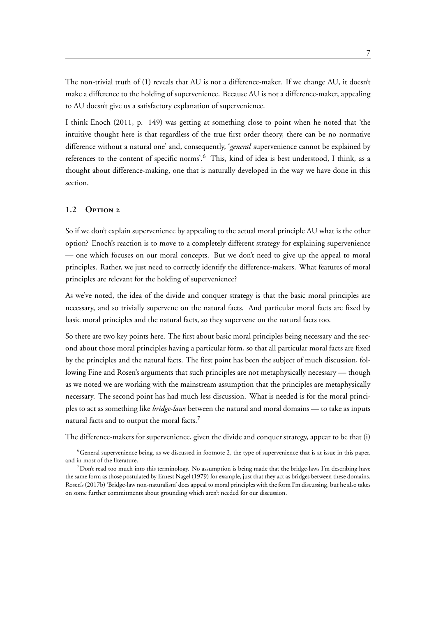The non-trivial truth of (1) reveals that AU is not a difference-maker. If we change AU, it doesn't make a difference to the holding of supervenience. Because AU is not a difference-maker, appealing to AU doesn't give us a satisfactory explanation of supervenience.

I think Enoch (2011, p. 149) was getting at something close to point when he noted that 'the intuitive thought here is that regardless of the true first order theory, there can be no normative difference without a natural one' and, consequently, '*general* supervenience cannot be explained by references to the content of specific norms'.<sup>6</sup> This, kind of idea is best understood, I think, as a thought about difference-making, one that is naturally developed in the way we have done in this section.

#### **1.2 Option 2**

So if we don't explain supervenience by appealing to the actual moral principle AU what is the other option? Enoch's reaction is to move to a completely different strategy for explaining supervenience — one which focuses on our moral concepts. But we don't need to give up the appeal to moral principles. Rather, we just need to correctly identify the difference-makers. What features of moral principles are relevant for the holding of supervenience?

As we've noted, the idea of the divide and conquer strategy is that the basic moral principles are necessary, and so trivially supervene on the natural facts. And particular moral facts are fixed by basic moral principles and the natural facts, so they supervene on the natural facts too.

So there are two key points here. The first about basic moral principles being necessary and the second about those moral principles having a particular form, so that all particular moral facts are fixed by the principles and the natural facts. The first point has been the subject of much discussion, following Fine and Rosen's arguments that such principles are not metaphysically necessary — though as we noted we are working with the mainstream assumption that the principles are metaphysically necessary. The second point has had much less discussion. What is needed is for the moral principles to act as something like *bridge-laws* between the natural and moral domains — to take as inputs natural facts and to output the moral facts.<sup>7</sup>

The difference-makers for supervenience, given the divide and conquer strategy, appear to be that (i)

 ${}^{6}$ General supervenience being, as we discussed in footnote 2, the type of supervenience that is at issue in this paper, and in most of the literature.

 $^7$ Don't read too much into this terminology. No assumption is being made that the bridge-laws I'm describing have the same form as those postulated by Ernest Nagel (1979) for example, just that they act as bridges between these domains. Rosen's (2017b) 'Bridge-law non-naturalism' does appeal to moral principles with the form I'm discussing, but he also takes on some further commitments about grounding which aren't needed for our discussion.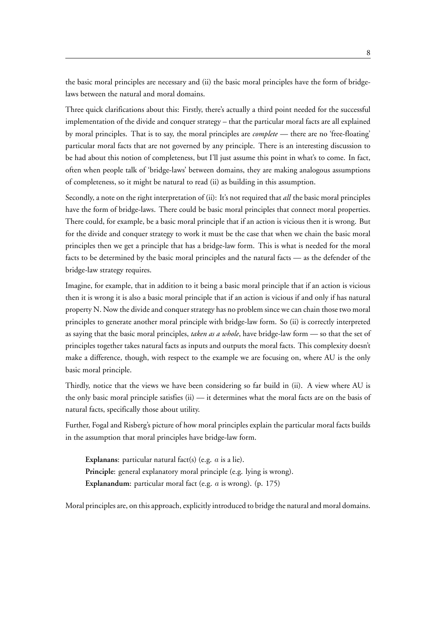the basic moral principles are necessary and (ii) the basic moral principles have the form of bridgelaws between the natural and moral domains.

Three quick clarifications about this: Firstly, there's actually a third point needed for the successful implementation of the divide and conquer strategy – that the particular moral facts are all explained by moral principles. That is to say, the moral principles are *complete* — there are no 'free-floating' particular moral facts that are not governed by any principle. There is an interesting discussion to be had about this notion of completeness, but I'll just assume this point in what's to come. In fact, often when people talk of 'bridge-laws' between domains, they are making analogous assumptions of completeness, so it might be natural to read (ii) as building in this assumption.

Secondly, a note on the right interpretation of (ii): It's not required that *all* the basic moral principles have the form of bridge-laws. There could be basic moral principles that connect moral properties. There could, for example, be a basic moral principle that if an action is vicious then it is wrong. But for the divide and conquer strategy to work it must be the case that when we chain the basic moral principles then we get a principle that has a bridge-law form. This is what is needed for the moral facts to be determined by the basic moral principles and the natural facts — as the defender of the bridge-law strategy requires.

Imagine, for example, that in addition to it being a basic moral principle that if an action is vicious then it is wrong it is also a basic moral principle that if an action is vicious if and only if has natural property N. Now the divide and conquer strategy has no problem since we can chain those two moral principles to generate another moral principle with bridge-law form. So (ii) is correctly interpreted as saying that the basic moral principles, *taken as a whole*, have bridge-law form — so that the set of principles together takes natural facts as inputs and outputs the moral facts. This complexity doesn't make a difference, though, with respect to the example we are focusing on, where AU is the only basic moral principle.

Thirdly, notice that the views we have been considering so far build in (ii). A view where AU is the only basic moral principle satisfies (ii) — it determines what the moral facts are on the basis of natural facts, specifically those about utility.

Further, Fogal and Risberg's picture of how moral principles explain the particular moral facts builds in the assumption that moral principles have bridge-law form.

**Explanans**: particular natural fact(s) (e.g. *a* is a lie). **Principle**: general explanatory moral principle (e.g. lying is wrong). **Explanandum**: particular moral fact (e.g. *a* is wrong). (p. 175)

Moral principles are, on this approach, explicitly introduced to bridge the natural and moral domains.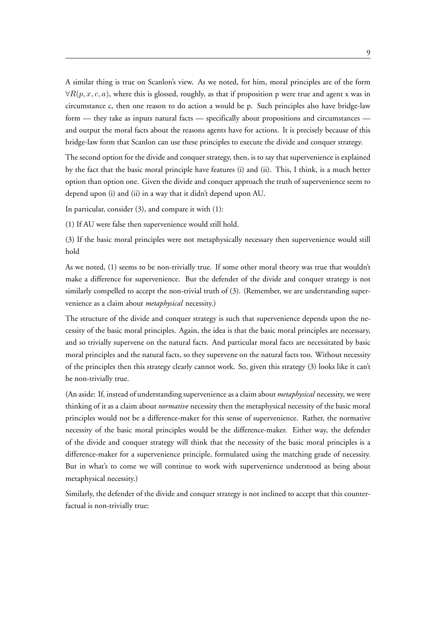A similar thing is true on Scanlon's view. As we noted, for him, moral principles are of the form *∀R*(*p, x, c, a*), where this is glossed, roughly, as that if proposition p were true and agent x was in circumstance c, then one reason to do action a would be p. Such principles also have bridge-law form — they take as inputs natural facts — specifically about propositions and circumstances and output the moral facts about the reasons agents have for actions. It is precisely because of this bridge-law form that Scanlon can use these principles to execute the divide and conquer strategy.

The second option for the divide and conquer strategy, then, is to say that supervenience is explained by the fact that the basic moral principle have features (i) and (ii). This, I think, is a much better option than option one. Given the divide and conquer approach the truth of supervenience seem to depend upon (i) and (ii) in a way that it didn't depend upon AU.

In particular, consider (3), and compare it with (1):

(1) If AU were false then supervenience would still hold.

(3) If the basic moral principles were not metaphysically necessary then supervenience would still hold

As we noted, (1) seems to be non-trivially true. If some other moral theory was true that wouldn't make a difference for supervenience. But the defender of the divide and conquer strategy is not similarly compelled to accept the non-trivial truth of (3). (Remember, we are understanding supervenience as a claim about *metaphysical* necessity.)

The structure of the divide and conquer strategy is such that supervenience depends upon the necessity of the basic moral principles. Again, the idea is that the basic moral principles are necessary, and so trivially supervene on the natural facts. And particular moral facts are necessitated by basic moral principles and the natural facts, so they supervene on the natural facts too. Without necessity of the principles then this strategy clearly cannot work. So, given this strategy (3) looks like it can't be non-trivially true.

(An aside: If, instead of understanding supervenience as a claim about *metaphysical* necessity, we were thinking of it as a claim about *normative* necessity then the metaphysical necessity of the basic moral principles would not be a difference-maker for this sense of supervenience. Rather, the normative necessity of the basic moral principles would be the difference-maker. Either way, the defender of the divide and conquer strategy will think that the necessity of the basic moral principles is a difference-maker for a supervenience principle, formulated using the matching grade of necessity. But in what's to come we will continue to work with supervenience understood as being about metaphysical necessity.)

Similarly, the defender of the divide and conquer strategy is not inclined to accept that this counterfactual is non-trivially true: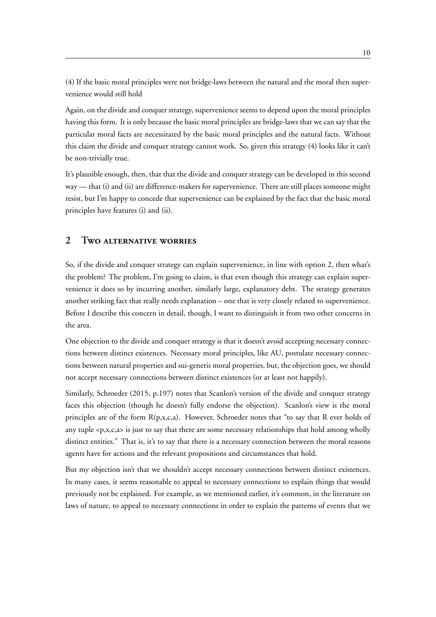(4) If the basic moral principles were not bridge-laws between the natural and the moral then supervenience would still hold

Again, on the divide and conquer strategy, supervenience seems to depend upon the moral principles having this form. It is only because the basic moral principles are bridge-laws that we can say that the particular moral facts are necessitated by the basic moral principles and the natural facts. Without this claim the divide and conquer strategy cannot work. So, given this strategy (4) looks like it can't be non-trivially true.

It's plausible enough, then, that that the divide and conquer strategy can be developed in this second way — that (i) and (ii) are difference-makers for supervenience. There are still places someone might resist, but I'm happy to concede that supervenience can be explained by the fact that the basic moral principles have features (i) and (ii).

### **2 Two alternative worries**

So, if the divide and conquer strategy can explain supervenience, in line with option 2, then what's the problem? The problem, I'm going to claim, is that even though this strategy can explain supervenience it does so by incurring another, similarly large, explanatory debt. The strategy generates another striking fact that really needs explanation – one that is very closely related to supervenience. Before I describe this concern in detail, though, I want to distinguish it from two other concerns in the area.

One objection to the divide and conquer strategy is that it doesn't avoid accepting necessary connections between distinct existences. Necessary moral principles, like AU, postulate necessary connections between natural properties and sui-generis moral properties, but, the objection goes, we should not accept necessary connections between distinct existences (or at least not happily).

Similarly, Schroeder (2015, p.197) notes that Scanlon's version of the divide and conquer strategy faces this objection (though he doesn't fully endorse the objection). Scanlon's view is the moral principles are of the form R(p,x,c,a). However, Schroeder notes that "to say that R ever holds of any tuple  $\langle p, x, c, a \rangle$  is just to say that there are some necessary relationships that hold among wholly distinct entities." That is, it's to say that there is a necessary connection between the moral reasons agents have for actions and the relevant propositions and circumstances that hold.

But my objection isn't that we shouldn't accept necessary connections between distinct existences. In many cases, it seems reasonable to appeal to necessary connections to explain things that would previously not be explained. For example, as we mentioned earlier, it's common, in the literature on laws of nature, to appeal to necessary connections in order to explain the patterns of events that we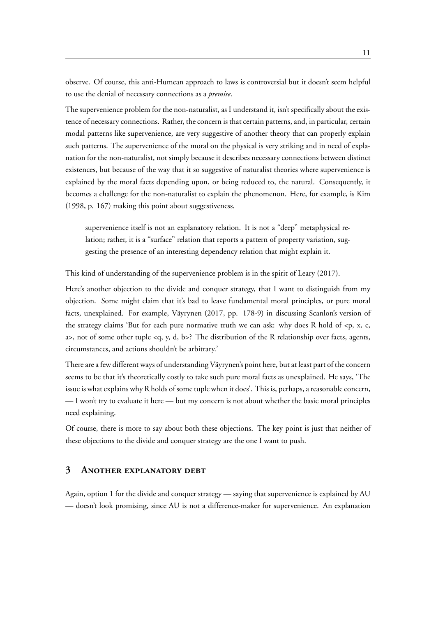observe. Of course, this anti-Humean approach to laws is controversial but it doesn't seem helpful to use the denial of necessary connections as a *premise*.

The supervenience problem for the non-naturalist, as I understand it, isn't specifically about the existence of necessary connections. Rather, the concern is that certain patterns, and, in particular, certain modal patterns like supervenience, are very suggestive of another theory that can properly explain such patterns. The supervenience of the moral on the physical is very striking and in need of explanation for the non-naturalist, not simply because it describes necessary connections between distinct existences, but because of the way that it so suggestive of naturalist theories where supervenience is explained by the moral facts depending upon, or being reduced to, the natural. Consequently, it becomes a challenge for the non-naturalist to explain the phenomenon. Here, for example, is Kim (1998, p. 167) making this point about suggestiveness.

supervenience itself is not an explanatory relation. It is not a "deep" metaphysical relation; rather, it is a "surface" relation that reports a pattern of property variation, suggesting the presence of an interesting dependency relation that might explain it.

This kind of understanding of the supervenience problem is in the spirit of Leary (2017).

Here's another objection to the divide and conquer strategy, that I want to distinguish from my objection. Some might claim that it's bad to leave fundamental moral principles, or pure moral facts, unexplained. For example, Väyrynen (2017, pp. 178-9) in discussing Scanlon's version of the strategy claims 'But for each pure normative truth we can ask: why does R hold of  $\langle p, x, c \rangle$ a>, not of some other tuple <q, y, d, b>? The distribution of the R relationship over facts, agents, circumstances, and actions shouldn't be arbitrary.'

There are a few different ways of understanding Väyrynen's point here, but at least part of the concern seems to be that it's theoretically costly to take such pure moral facts as unexplained. He says, 'The issue is what explains why R holds of some tuple when it does'. This is, perhaps, a reasonable concern, — I won't try to evaluate it here — but my concern is not about whether the basic moral principles need explaining.

Of course, there is more to say about both these objections. The key point is just that neither of these objections to the divide and conquer strategy are the one I want to push.

### **3 Another explanatory debt**

Again, option 1 for the divide and conquer strategy — saying that supervenience is explained by AU — doesn't look promising, since AU is not a difference-maker for supervenience. An explanation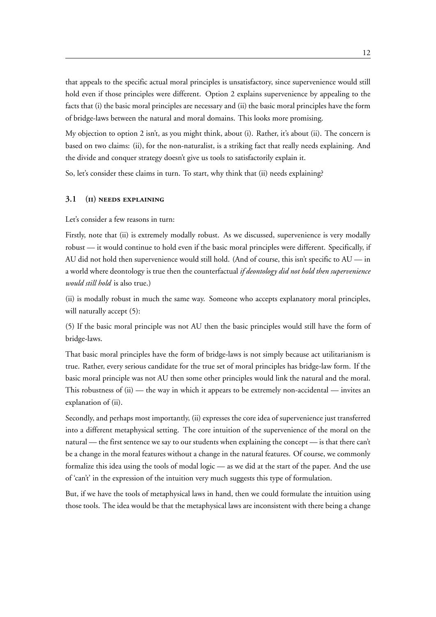that appeals to the specific actual moral principles is unsatisfactory, since supervenience would still hold even if those principles were different. Option 2 explains supervenience by appealing to the facts that (i) the basic moral principles are necessary and (ii) the basic moral principles have the form of bridge-laws between the natural and moral domains. This looks more promising.

My objection to option 2 isn't, as you might think, about (i). Rather, it's about (ii). The concern is based on two claims: (ii), for the non-naturalist, is a striking fact that really needs explaining. And the divide and conquer strategy doesn't give us tools to satisfactorily explain it.

So, let's consider these claims in turn. To start, why think that (ii) needs explaining?

#### **3.1 (ii) needs explaining**

Let's consider a few reasons in turn:

Firstly, note that (ii) is extremely modally robust. As we discussed, supervenience is very modally robust — it would continue to hold even if the basic moral principles were different. Specifically, if AU did not hold then supervenience would still hold. (And of course, this isn't specific to AU — in a world where deontology is true then the counterfactual *if deontology did not hold then supervenience would still hold* is also true.)

(ii) is modally robust in much the same way. Someone who accepts explanatory moral principles, will naturally accept (5):

(5) If the basic moral principle was not AU then the basic principles would still have the form of bridge-laws.

That basic moral principles have the form of bridge-laws is not simply because act utilitarianism is true. Rather, every serious candidate for the true set of moral principles has bridge-law form. If the basic moral principle was not AU then some other principles would link the natural and the moral. This robustness of  $(ii)$  — the way in which it appears to be extremely non-accidental — invites an explanation of (ii).

Secondly, and perhaps most importantly, (ii) expresses the core idea of supervenience just transferred into a different metaphysical setting. The core intuition of the supervenience of the moral on the natural — the first sentence we say to our students when explaining the concept — is that there can't be a change in the moral features without a change in the natural features. Of course, we commonly formalize this idea using the tools of modal logic — as we did at the start of the paper. And the use of 'can't' in the expression of the intuition very much suggests this type of formulation.

But, if we have the tools of metaphysical laws in hand, then we could formulate the intuition using those tools. The idea would be that the metaphysical laws are inconsistent with there being a change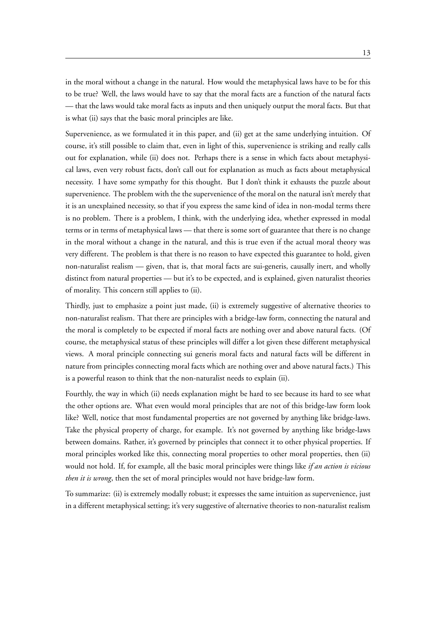in the moral without a change in the natural. How would the metaphysical laws have to be for this to be true? Well, the laws would have to say that the moral facts are a function of the natural facts — that the laws would take moral facts as inputs and then uniquely output the moral facts. But that is what (ii) says that the basic moral principles are like.

Supervenience, as we formulated it in this paper, and (ii) get at the same underlying intuition. Of course, it's still possible to claim that, even in light of this, supervenience is striking and really calls out for explanation, while (ii) does not. Perhaps there is a sense in which facts about metaphysical laws, even very robust facts, don't call out for explanation as much as facts about metaphysical necessity. I have some sympathy for this thought. But I don't think it exhausts the puzzle about supervenience. The problem with the the supervenience of the moral on the natural isn't merely that it is an unexplained necessity, so that if you express the same kind of idea in non-modal terms there is no problem. There is a problem, I think, with the underlying idea, whether expressed in modal terms or in terms of metaphysical laws — that there is some sort of guarantee that there is no change in the moral without a change in the natural, and this is true even if the actual moral theory was very different. The problem is that there is no reason to have expected this guarantee to hold, given non-naturalist realism — given, that is, that moral facts are sui-generis, causally inert, and wholly distinct from natural properties — but it's to be expected, and is explained, given naturalist theories of morality. This concern still applies to (ii).

Thirdly, just to emphasize a point just made, (ii) is extremely suggestive of alternative theories to non-naturalist realism. That there are principles with a bridge-law form, connecting the natural and the moral is completely to be expected if moral facts are nothing over and above natural facts. (Of course, the metaphysical status of these principles will differ a lot given these different metaphysical views. A moral principle connecting sui generis moral facts and natural facts will be different in nature from principles connecting moral facts which are nothing over and above natural facts.) This is a powerful reason to think that the non-naturalist needs to explain (ii).

Fourthly, the way in which (ii) needs explanation might be hard to see because its hard to see what the other options are. What even would moral principles that are not of this bridge-law form look like? Well, notice that most fundamental properties are not governed by anything like bridge-laws. Take the physical property of charge, for example. It's not governed by anything like bridge-laws between domains. Rather, it's governed by principles that connect it to other physical properties. If moral principles worked like this, connecting moral properties to other moral properties, then (ii) would not hold. If, for example, all the basic moral principles were things like *if an action is vicious then it is wrong*, then the set of moral principles would not have bridge-law form.

To summarize: (ii) is extremely modally robust; it expresses the same intuition as supervenience, just in a different metaphysical setting; it's very suggestive of alternative theories to non-naturalist realism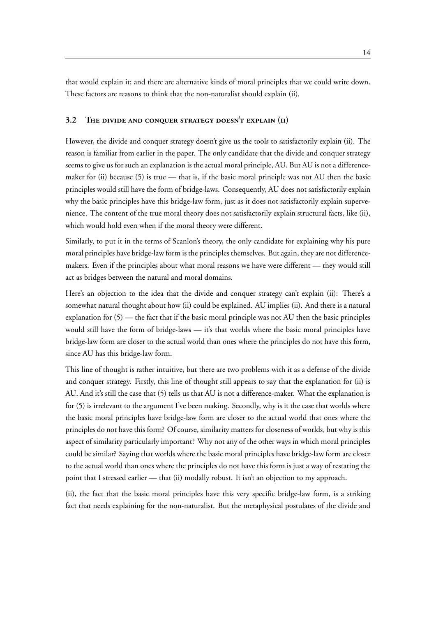that would explain it; and there are alternative kinds of moral principles that we could write down. These factors are reasons to think that the non-naturalist should explain (ii).

#### **3.2 The divide and conquer strategy doesn't explain (ii)**

However, the divide and conquer strategy doesn't give us the tools to satisfactorily explain (ii). The reason is familiar from earlier in the paper. The only candidate that the divide and conquer strategy seems to give us for such an explanation is the actual moral principle, AU. But AU is not a differencemaker for (ii) because (5) is true — that is, if the basic moral principle was not AU then the basic principles would still have the form of bridge-laws. Consequently, AU does not satisfactorily explain why the basic principles have this bridge-law form, just as it does not satisfactorily explain supervenience. The content of the true moral theory does not satisfactorily explain structural facts, like (ii), which would hold even when if the moral theory were different.

Similarly, to put it in the terms of Scanlon's theory, the only candidate for explaining why his pure moral principles have bridge-law form is the principles themselves. But again, they are not differencemakers. Even if the principles about what moral reasons we have were different — they would still act as bridges between the natural and moral domains.

Here's an objection to the idea that the divide and conquer strategy can't explain (ii): There's a somewhat natural thought about how (ii) could be explained. AU implies (ii). And there is a natural explanation for (5) — the fact that if the basic moral principle was not AU then the basic principles would still have the form of bridge-laws — it's that worlds where the basic moral principles have bridge-law form are closer to the actual world than ones where the principles do not have this form, since AU has this bridge-law form.

This line of thought is rather intuitive, but there are two problems with it as a defense of the divide and conquer strategy. Firstly, this line of thought still appears to say that the explanation for (ii) is AU. And it's still the case that (5) tells us that AU is not a difference-maker. What the explanation is for (5) is irrelevant to the argument I've been making. Secondly, why is it the case that worlds where the basic moral principles have bridge-law form are closer to the actual world that ones where the principles do not have this form? Of course, similarity matters for closeness of worlds, but why is this aspect of similarity particularly important? Why not any of the other ways in which moral principles could be similar? Saying that worlds where the basic moral principles have bridge-law form are closer to the actual world than ones where the principles do not have this form is just a way of restating the point that I stressed earlier — that (ii) modally robust. It isn't an objection to my approach.

(ii), the fact that the basic moral principles have this very specific bridge-law form, is a striking fact that needs explaining for the non-naturalist. But the metaphysical postulates of the divide and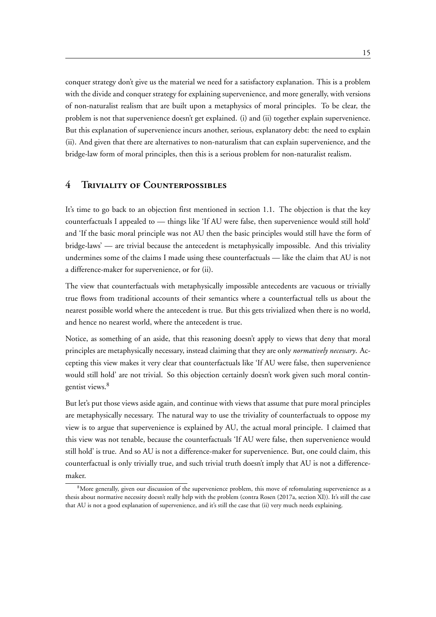conquer strategy don't give us the material we need for a satisfactory explanation. This is a problem with the divide and conquer strategy for explaining supervenience, and more generally, with versions of non-naturalist realism that are built upon a metaphysics of moral principles. To be clear, the problem is not that supervenience doesn't get explained. (i) and (ii) together explain supervenience. But this explanation of supervenience incurs another, serious, explanatory debt: the need to explain (ii). And given that there are alternatives to non-naturalism that can explain supervenience, and the bridge-law form of moral principles, then this is a serious problem for non-naturalist realism.

### **4 Triviality of Counterpossibles**

It's time to go back to an objection first mentioned in section 1.1. The objection is that the key counterfactuals I appealed to — things like 'If AU were false, then supervenience would still hold' and 'If the basic moral principle was not AU then the basic principles would still have the form of bridge-laws' — are trivial because the antecedent is metaphysically impossible. And this triviality undermines some of the claims I made using these counterfactuals — like the claim that AU is not a difference-maker for supervenience, or for (ii).

The view that counterfactuals with metaphysically impossible antecedents are vacuous or trivially true flows from traditional accounts of their semantics where a counterfactual tells us about the nearest possible world where the antecedent is true. But this gets trivialized when there is no world, and hence no nearest world, where the antecedent is true.

Notice, as something of an aside, that this reasoning doesn't apply to views that deny that moral principles are metaphysically necessary, instead claiming that they are only *normatively necessary*. Accepting this view makes it very clear that counterfactuals like 'If AU were false, then supervenience would still hold' are not trivial. So this objection certainly doesn't work given such moral contingentist views.<sup>8</sup>

But let's put those views aside again, and continue with views that assume that pure moral principles are metaphysically necessary. The natural way to use the triviality of counterfactuals to oppose my view is to argue that supervenience is explained by AU, the actual moral principle. I claimed that this view was not tenable, because the counterfactuals 'If AU were false, then supervenience would still hold' is true. And so AU is not a difference-maker for supervenience. But, one could claim, this counterfactual is only trivially true, and such trivial truth doesn't imply that AU is not a differencemaker.

 $8$ More generally, given our discussion of the supervenience problem, this move of refomulating supervenience as a thesis about normative necessity doesn't really help with the problem (contra Rosen (2017a, section XI)). It's still the case that AU is not a good explanation of supervenience, and it's still the case that (ii) very much needs explaining.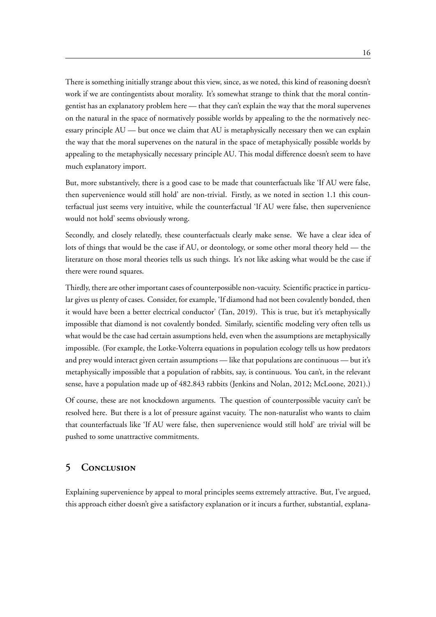There is something initially strange about this view, since, as we noted, this kind of reasoning doesn't work if we are contingentists about morality. It's somewhat strange to think that the moral contingentist has an explanatory problem here — that they can't explain the way that the moral supervenes on the natural in the space of normatively possible worlds by appealing to the the normatively necessary principle AU — but once we claim that AU is metaphysically necessary then we can explain the way that the moral supervenes on the natural in the space of metaphysically possible worlds by appealing to the metaphysically necessary principle AU. This modal difference doesn't seem to have much explanatory import.

But, more substantively, there is a good case to be made that counterfactuals like 'If AU were false, then supervenience would still hold' are non-trivial. Firstly, as we noted in section 1.1 this counterfactual just seems very intuitive, while the counterfactual 'If AU were false, then supervenience would not hold' seems obviously wrong.

Secondly, and closely relatedly, these counterfactuals clearly make sense. We have a clear idea of lots of things that would be the case if AU, or deontology, or some other moral theory held — the literature on those moral theories tells us such things. It's not like asking what would be the case if there were round squares.

Thirdly, there are other important cases of counterpossible non-vacuity. Scientific practice in particular gives us plenty of cases. Consider, for example, 'If diamond had not been covalently bonded, then it would have been a better electrical conductor' (Tan, 2019). This is true, but it's metaphysically impossible that diamond is not covalently bonded. Similarly, scientific modeling very often tells us what would be the case had certain assumptions held, even when the assumptions are metaphysically impossible. (For example, the Lotke-Volterra equations in population ecology tells us how predators and prey would interact given certain assumptions — like that populations are continuous — but it's metaphysically impossible that a population of rabbits, say, is continuous. You can't, in the relevant sense, have a population made up of 482.843 rabbits (Jenkins and Nolan, 2012; McLoone, 2021).)

Of course, these are not knockdown arguments. The question of counterpossible vacuity can't be resolved here. But there is a lot of pressure against vacuity. The non-naturalist who wants to claim that counterfactuals like 'If AU were false, then supervenience would still hold' are trivial will be pushed to some unattractive commitments.

### **5 Conclusion**

Explaining supervenience by appeal to moral principles seems extremely attractive. But, I've argued, this approach either doesn't give a satisfactory explanation or it incurs a further, substantial, explana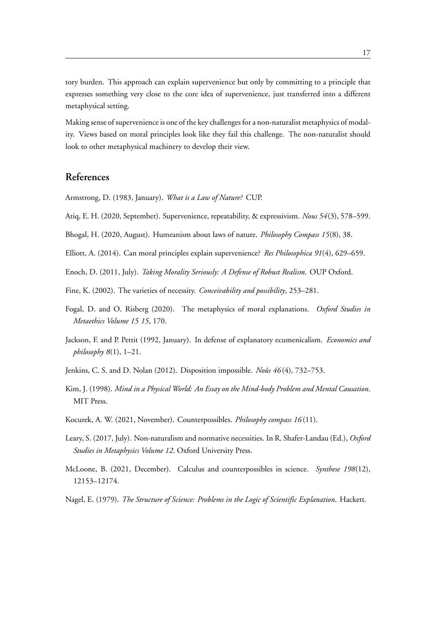tory burden. This approach can explain supervenience but only by committing to a principle that expresses something very close to the core idea of supervenience, just transferred into a different metaphysical setting.

Making sense of supervenience is one of the key challenges for a non-naturalist metaphysics of modality. Views based on moral principles look like they fail this challenge. The non-naturalist should look to other metaphysical machinery to develop their view.

## **References**

Armstrong, D. (1983, January). *What is a Law of Nature?* CUP.

Atiq, E. H. (2020, September). Supervenience, repeatability, & expressivism. *Nous 54*(3), 578–599.

Bhogal, H. (2020, August). Humeanism about laws of nature. *Philosophy Compass 15*(8), 38.

Elliott, A. (2014). Can moral principles explain supervenience? *Res Philosophica 91*(4), 629–659.

Enoch, D. (2011, July). *Taking Morality Seriously: A Defense of Robust Realism*. OUP Oxford.

- Fine, K. (2002). The varieties of necessity. *Conceivability and possibility*, 253–281.
- Fogal, D. and O. Risberg (2020). The metaphysics of moral explanations. *Oxford Studies in Metaethics Volume 15 15*, 170.
- Jackson, F. and P. Pettit (1992, January). In defense of explanatory ecumenicalism. *Economics and philosophy 8*(1), 1–21.
- Jenkins, C. S. and D. Nolan (2012). Disposition impossible. *Noûs 46* (4), 732–753.
- Kim, J. (1998). *Mind in a Physical World: An Essay on the Mind-body Problem and Mental Causation*. MIT Press.
- Kocurek, A. W. (2021, November). Counterpossibles. *Philosophy compass 16* (11).
- Leary, S. (2017, July). Non-naturalism and normative necessities. In R. Shafer-Landau (Ed.), *Oxford Studies in Metaphysics Volume 12*. Oxford University Press.
- McLoone, B. (2021, December). Calculus and counterpossibles in science. *Synthese 198*(12), 12153–12174.
- Nagel, E. (1979). *The Structure of Science: Problems in the Logic of Scientific Explanation*. Hackett.